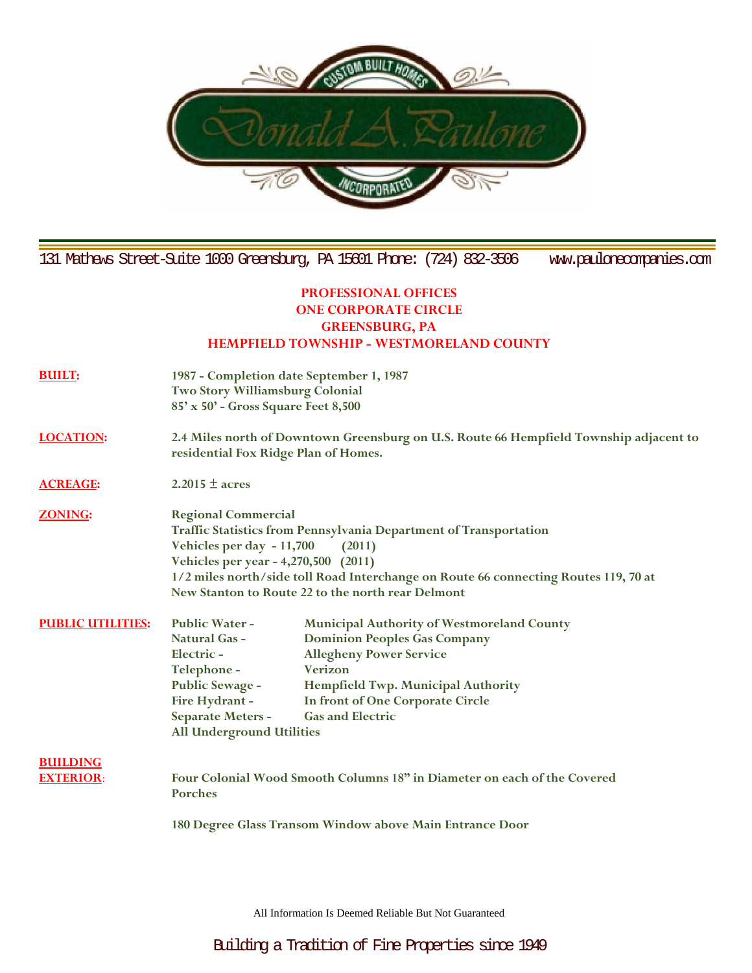

131 Mathews Street-Suite 1000 Greensburg, PA 15601 Phone: (724) 832-3506 www.paulonecompanies.com

## **PROFESSIONAL OFFICES ONE CORPORATE CIRCLE GREENSBURG, PA HEMPFIELD TOWNSHIP - WESTMORELAND COUNTY**

- **BUILT: 1987 - Completion date September 1, 1987 Two Story Williamsburg Colonial 85' x 50' - Gross Square Feet 8,500**
- **LOCATION: 2.4 Miles north of Downtown Greensburg on U.S. Route 66 Hempfield Township adjacent to residential Fox Ridge Plan of Homes.**

**ACREAGE: 2.2015 ± acres**

- **ZONING: Regional Commercial Traffic Statistics from Pennsylvania Department of Transportation Vehicles per day - 11,700 (2011) Vehicles per year - 4,270,500 (2011) 1/2 miles north/side toll Road Interchange on Route 66 connecting Routes 119, 70 at New Stanton to Route 22 to the north rear Delmont**
- **PUBLIC UTILITIES: Public Water - Municipal Authority of Westmoreland County Natural Gas - Dominion Peoples Gas Company Electric - Allegheny Power Service Telephone - Verizon Public Sewage - Hempfield Twp. Municipal Authority Fire Hydrant - In front of One Corporate Circle Separate Meters - Gas and Electric All Underground Utilities**

**BUILDING** 

**EXTERIOR**: **Four Colonial Wood Smooth Columns 18" in Diameter on each of the Covered Porches**

**180 Degree Glass Transom Window above Main Entrance Door**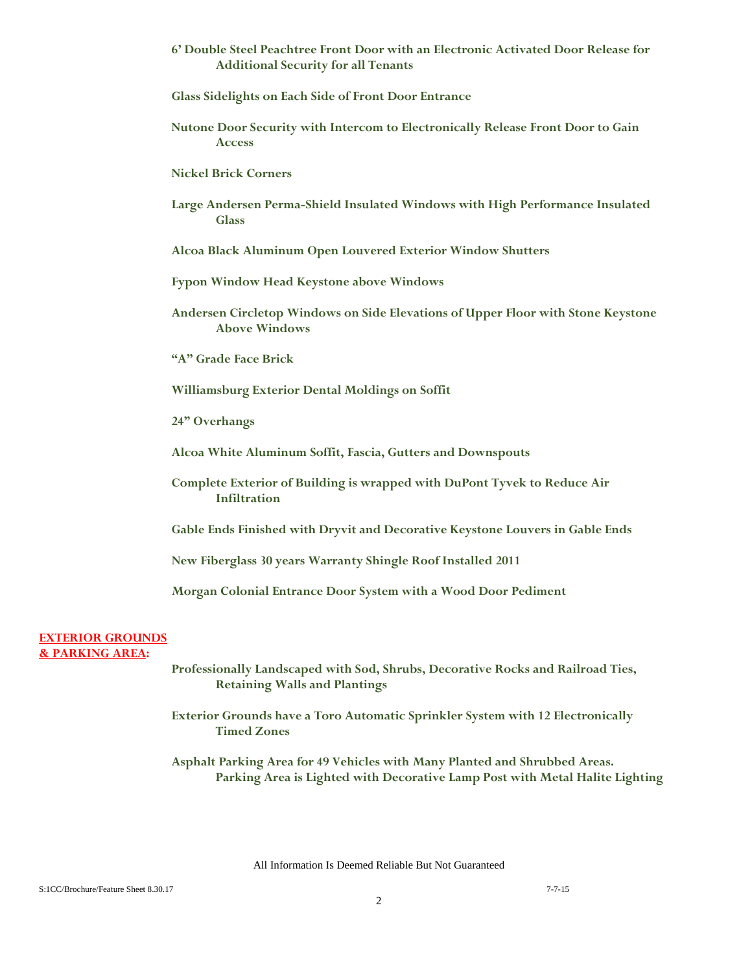- **6' Double Steel Peachtree Front Door with an Electronic Activated Door Release for Additional Security for all Tenants**
- **Glass Sidelights on Each Side of Front Door Entrance**
- **Nutone Door Security with Intercom to Electronically Release Front Door to Gain Access**
- **Nickel Brick Corners**
- **Large Andersen Perma-Shield Insulated Windows with High Performance Insulated Glass**

**Alcoa Black Aluminum Open Louvered Exterior Window Shutters**

**Fypon Window Head Keystone above Windows**

**Andersen Circletop Windows on Side Elevations of Upper Floor with Stone Keystone Above Windows**

**"A" Grade Face Brick**

**Williamsburg Exterior Dental Moldings on Soffit**

**24" Overhangs**

**Alcoa White Aluminum Soffit, Fascia, Gutters and Downspouts**

**Complete Exterior of Building is wrapped with DuPont Tyvek to Reduce Air Infiltration**

**Gable Ends Finished with Dryvit and Decorative Keystone Louvers in Gable Ends**

**New Fiberglass 30 years Warranty Shingle Roof Installed 2011** 

**Morgan Colonial Entrance Door System with a Wood Door Pediment**

## **EXTERIOR GROUNDS & PARKING AREA:**

**Professionally Landscaped with Sod, Shrubs, Decorative Rocks and Railroad Ties, Retaining Walls and Plantings**

**Exterior Grounds have a Toro Automatic Sprinkler System with 12 Electronically Timed Zones**

**Asphalt Parking Area for 49 Vehicles with Many Planted and Shrubbed Areas. Parking Area is Lighted with Decorative Lamp Post with Metal Halite Lighting**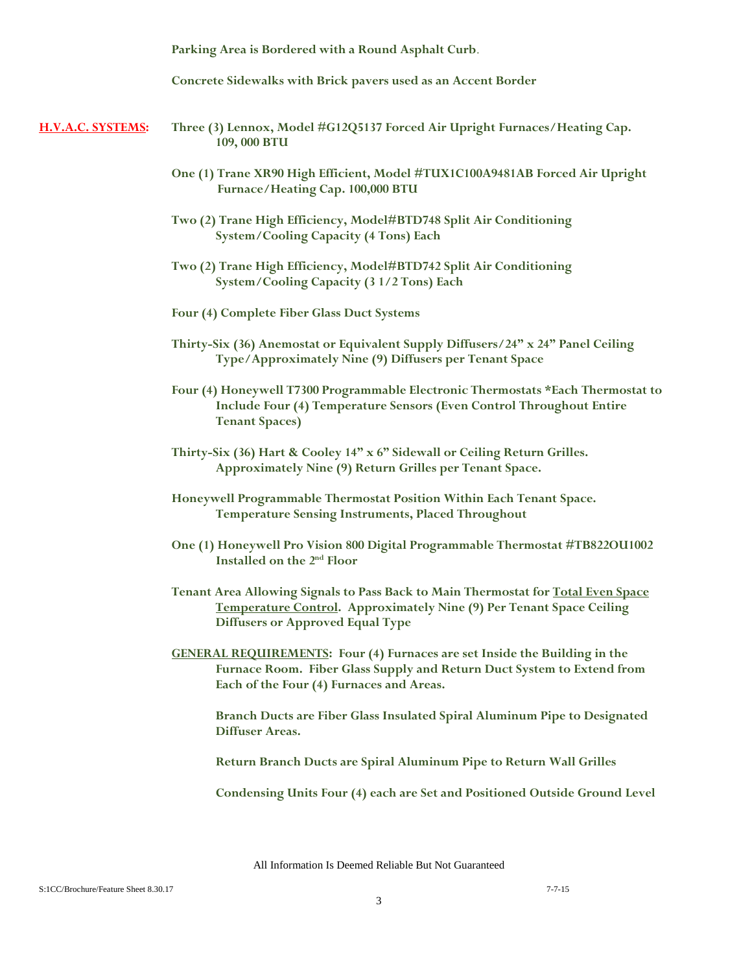**Parking Area is Bordered with a Round Asphalt Curb**.

**Concrete Sidewalks with Brick pavers used as an Accent Border**

- **H.V.A.C. SYSTEMS: Three (3) Lennox, Model #G12Q5137 Forced Air Upright Furnaces/Heating Cap. 109, 000 BTU**
	- **One (1) Trane XR90 High Efficient, Model #TUX1C100A9481AB Forced Air Upright Furnace/Heating Cap. 100,000 BTU**
	- **Two (2) Trane High Efficiency, Model#BTD748 Split Air Conditioning System/Cooling Capacity (4 Tons) Each**
	- **Two (2) Trane High Efficiency, Model#BTD742 Split Air Conditioning System/Cooling Capacity (3 1/2 Tons) Each**
	- **Four (4) Complete Fiber Glass Duct Systems**
	- **Thirty-Six (36) Anemostat or Equivalent Supply Diffusers/24" x 24" Panel Ceiling Type/Approximately Nine (9) Diffusers per Tenant Space**
	- **Four (4) Honeywell T7300 Programmable Electronic Thermostats \*Each Thermostat to Include Four (4) Temperature Sensors (Even Control Throughout Entire Tenant Spaces)**
	- **Thirty-Six (36) Hart & Cooley 14" x 6" Sidewall or Ceiling Return Grilles. Approximately Nine (9) Return Grilles per Tenant Space.**
	- **Honeywell Programmable Thermostat Position Within Each Tenant Space. Temperature Sensing Instruments, Placed Throughout**
	- **One (1) Honeywell Pro Vision 800 Digital Programmable Thermostat #TB822OU1002 Installed on the 2nd Floor**
	- **Tenant Area Allowing Signals to Pass Back to Main Thermostat for Total Even Space Temperature Control. Approximately Nine (9) Per Tenant Space Ceiling Diffusers or Approved Equal Type**
	- **GENERAL REQUIREMENTS: Four (4) Furnaces are set Inside the Building in the Furnace Room. Fiber Glass Supply and Return Duct System to Extend from Each of the Four (4) Furnaces and Areas.**

**Branch Ducts are Fiber Glass Insulated Spiral Aluminum Pipe to Designated Diffuser Areas.**

**Return Branch Ducts are Spiral Aluminum Pipe to Return Wall Grilles**

**Condensing Units Four (4) each are Set and Positioned Outside Ground Level**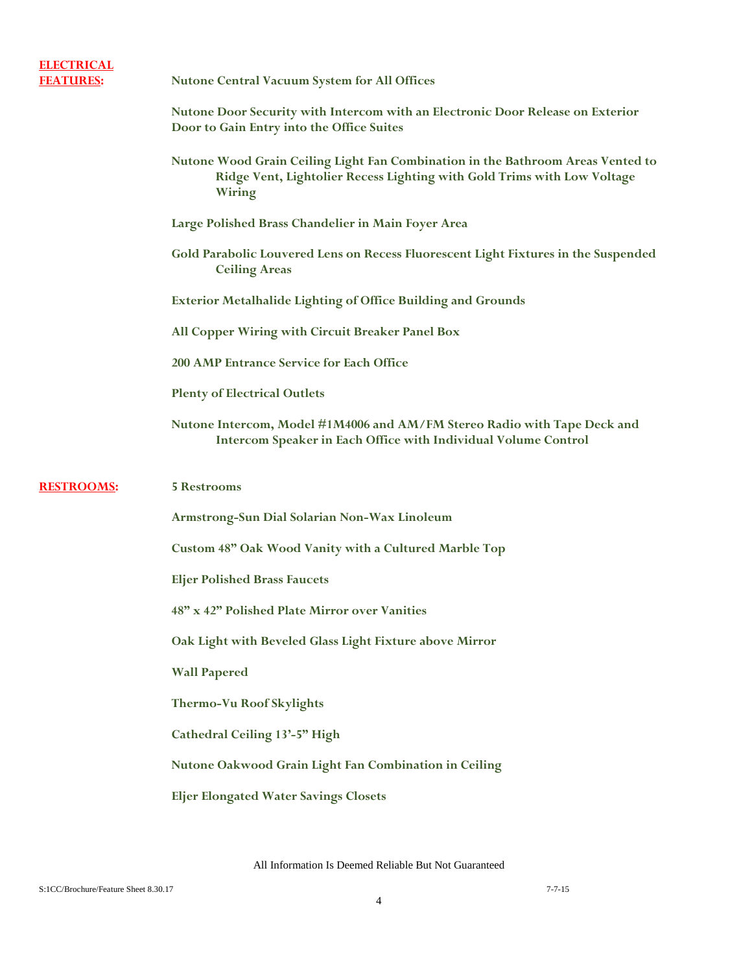| <b>ELECTRICAL</b><br><b>FEATURES:</b> | <b>Nutone Central Vacuum System for All Offices</b>                                                                                                                  |
|---------------------------------------|----------------------------------------------------------------------------------------------------------------------------------------------------------------------|
|                                       | Nutone Door Security with Intercom with an Electronic Door Release on Exterior<br>Door to Gain Entry into the Office Suites                                          |
|                                       | Nutone Wood Grain Ceiling Light Fan Combination in the Bathroom Areas Vented to<br>Ridge Vent, Lightolier Recess Lighting with Gold Trims with Low Voltage<br>Wiring |
|                                       | Large Polished Brass Chandelier in Main Foyer Area                                                                                                                   |
|                                       | Gold Parabolic Louvered Lens on Recess Fluorescent Light Fixtures in the Suspended<br><b>Ceiling Areas</b>                                                           |
|                                       | <b>Exterior Metalhalide Lighting of Office Building and Grounds</b>                                                                                                  |
|                                       | All Copper Wiring with Circuit Breaker Panel Box                                                                                                                     |
|                                       | <b>200 AMP Entrance Service for Each Office</b>                                                                                                                      |
|                                       | <b>Plenty of Electrical Outlets</b>                                                                                                                                  |
|                                       | Nutone Intercom, Model #1M4006 and AM/FM Stereo Radio with Tape Deck and<br>Intercom Speaker in Each Office with Individual Volume Control                           |
|                                       |                                                                                                                                                                      |
| <b>RESTROOMS:</b>                     | <b>5 Restrooms</b>                                                                                                                                                   |
|                                       | Armstrong-Sun Dial Solarian Non-Wax Linoleum                                                                                                                         |
|                                       | Custom 48" Oak Wood Vanity with a Cultured Marble Top                                                                                                                |
|                                       | <b>Eljer Polished Brass Faucets</b>                                                                                                                                  |
|                                       | 48" x 42" Polished Plate Mirror over Vanities                                                                                                                        |
|                                       | Oak Light with Beveled Glass Light Fixture above Mirror                                                                                                              |
|                                       | <b>Wall Papered</b>                                                                                                                                                  |
|                                       | <b>Thermo-Vu Roof Skylights</b>                                                                                                                                      |
|                                       | Cathedral Ceiling 13'-5" High                                                                                                                                        |
|                                       | Nutone Oakwood Grain Light Fan Combination in Ceiling                                                                                                                |
|                                       | <b>Eljer Elongated Water Savings Closets</b>                                                                                                                         |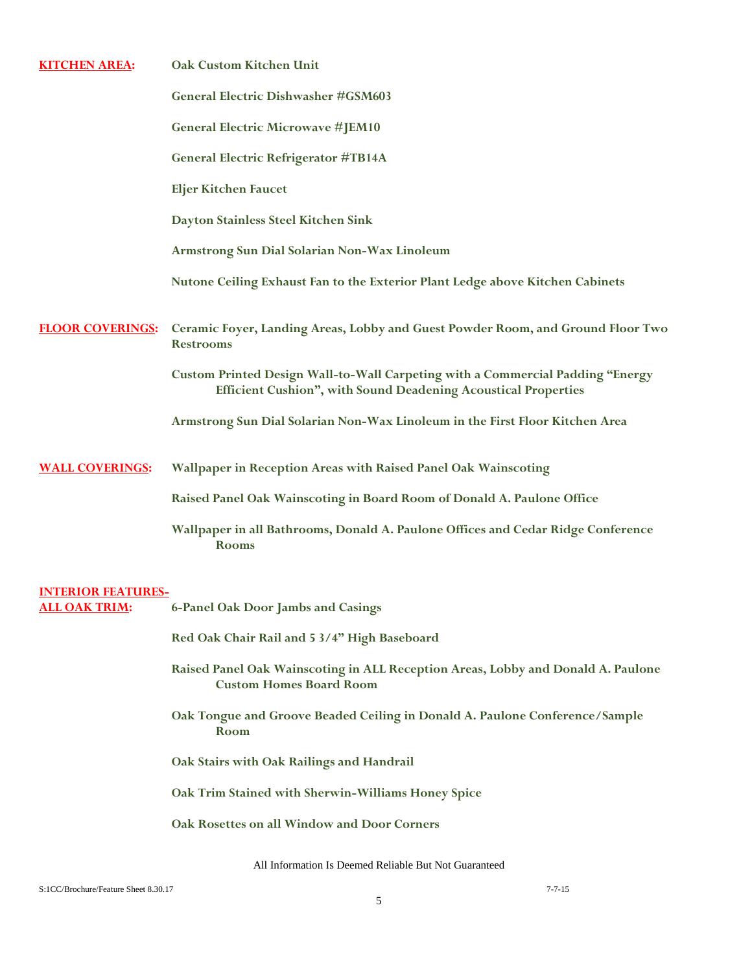| <b>KITCHEN AREA:</b>      | Oak Custom Kitchen Unit                                                                                                                                 |
|---------------------------|---------------------------------------------------------------------------------------------------------------------------------------------------------|
|                           | General Electric Dishwasher #GSM603                                                                                                                     |
|                           | <b>General Electric Microwave #JEM10</b>                                                                                                                |
|                           | <b>General Electric Refrigerator #TB14A</b>                                                                                                             |
|                           | <b>Eljer Kitchen Faucet</b>                                                                                                                             |
|                           | Dayton Stainless Steel Kitchen Sink                                                                                                                     |
|                           | Armstrong Sun Dial Solarian Non-Wax Linoleum                                                                                                            |
|                           | Nutone Ceiling Exhaust Fan to the Exterior Plant Ledge above Kitchen Cabinets                                                                           |
| <b>FLOOR COVERINGS:</b>   | Ceramic Foyer, Landing Areas, Lobby and Guest Powder Room, and Ground Floor Two<br><b>Restrooms</b>                                                     |
|                           | Custom Printed Design Wall-to-Wall Carpeting with a Commercial Padding "Energy<br><b>Efficient Cushion", with Sound Deadening Acoustical Properties</b> |
|                           | Armstrong Sun Dial Solarian Non-Wax Linoleum in the First Floor Kitchen Area                                                                            |
| <b>WALL COVERINGS:</b>    | Wallpaper in Reception Areas with Raised Panel Oak Wainscoting                                                                                          |
|                           | Raised Panel Oak Wainscoting in Board Room of Donald A. Paulone Office                                                                                  |
|                           | Wallpaper in all Bathrooms, Donald A. Paulone Offices and Cedar Ridge Conference<br><b>Rooms</b>                                                        |
| <b>INTERIOR FEATURES-</b> |                                                                                                                                                         |
| <b>ALL OAK TRIM:</b>      | <b>6-Panel Oak Door Jambs and Casings</b>                                                                                                               |
|                           | Red Oak Chair Rail and 5 3/4" High Baseboard                                                                                                            |
|                           | Raised Panel Oak Wainscoting in ALL Reception Areas, Lobby and Donald A. Paulone<br><b>Custom Homes Board Room</b>                                      |
|                           | Oak Tongue and Groove Beaded Ceiling in Donald A. Paulone Conference/Sample<br>Room                                                                     |
|                           | Oak Stairs with Oak Railings and Handrail                                                                                                               |
|                           | Oak Trim Stained with Sherwin-Williams Honey Spice                                                                                                      |
|                           | Oak Rosettes on all Window and Door Corners                                                                                                             |
|                           |                                                                                                                                                         |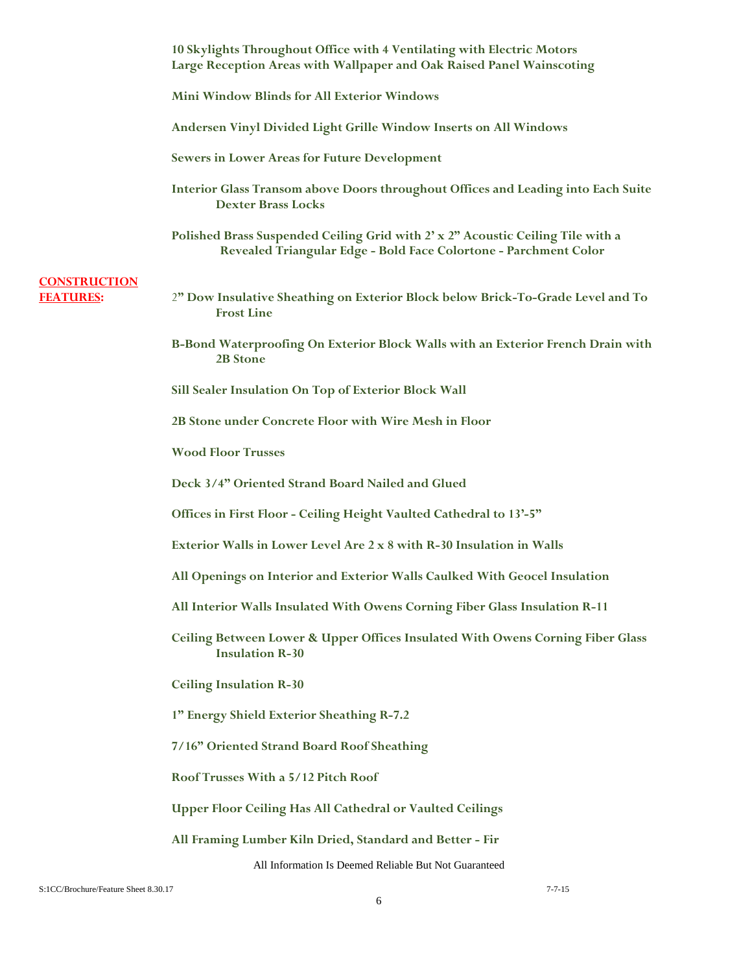|                                         | 10 Skylights Throughout Office with 4 Ventilating with Electric Motors<br>Large Reception Areas with Wallpaper and Oak Raised Panel Wainscoting     |
|-----------------------------------------|-----------------------------------------------------------------------------------------------------------------------------------------------------|
|                                         | <b>Mini Window Blinds for All Exterior Windows</b>                                                                                                  |
|                                         | Andersen Vinyl Divided Light Grille Window Inserts on All Windows                                                                                   |
|                                         | <b>Sewers in Lower Areas for Future Development</b>                                                                                                 |
|                                         | Interior Glass Transom above Doors throughout Offices and Leading into Each Suite<br><b>Dexter Brass Locks</b>                                      |
|                                         | Polished Brass Suspended Ceiling Grid with 2' x 2" Acoustic Ceiling Tile with a<br>Revealed Triangular Edge - Bold Face Colortone - Parchment Color |
| <b>CONSTRUCTION</b><br><b>FEATURES:</b> | 2" Dow Insulative Sheathing on Exterior Block below Brick-To-Grade Level and To<br><b>Frost Line</b>                                                |
|                                         | B-Bond Waterproofing On Exterior Block Walls with an Exterior French Drain with<br>2B Stone                                                         |
|                                         | Sill Sealer Insulation On Top of Exterior Block Wall                                                                                                |
|                                         | 2B Stone under Concrete Floor with Wire Mesh in Floor                                                                                               |
|                                         | <b>Wood Floor Trusses</b>                                                                                                                           |
|                                         | Deck 3/4" Oriented Strand Board Nailed and Glued                                                                                                    |
|                                         | Offices in First Floor - Ceiling Height Vaulted Cathedral to 13'-5"                                                                                 |
|                                         | Exterior Walls in Lower Level Are 2 x 8 with R-30 Insulation in Walls                                                                               |
|                                         | All Openings on Interior and Exterior Walls Caulked With Geocel Insulation                                                                          |
|                                         | All Interior Walls Insulated With Owens Corning Fiber Glass Insulation R-11                                                                         |
|                                         | Ceiling Between Lower & Upper Offices Insulated With Owens Corning Fiber Glass<br><b>Insulation R-30</b>                                            |
|                                         | <b>Ceiling Insulation R-30</b>                                                                                                                      |
|                                         | 1" Energy Shield Exterior Sheathing R-7.2                                                                                                           |
|                                         | 7/16" Oriented Strand Board Roof Sheathing                                                                                                          |
|                                         | Roof Trusses With a 5/12 Pitch Roof                                                                                                                 |
|                                         | <b>Upper Floor Ceiling Has All Cathedral or Vaulted Ceilings</b>                                                                                    |
|                                         | All Framing Lumber Kiln Dried, Standard and Better - Fir                                                                                            |
|                                         | All Information Is Deemed Reliable But Not Guaranteed                                                                                               |